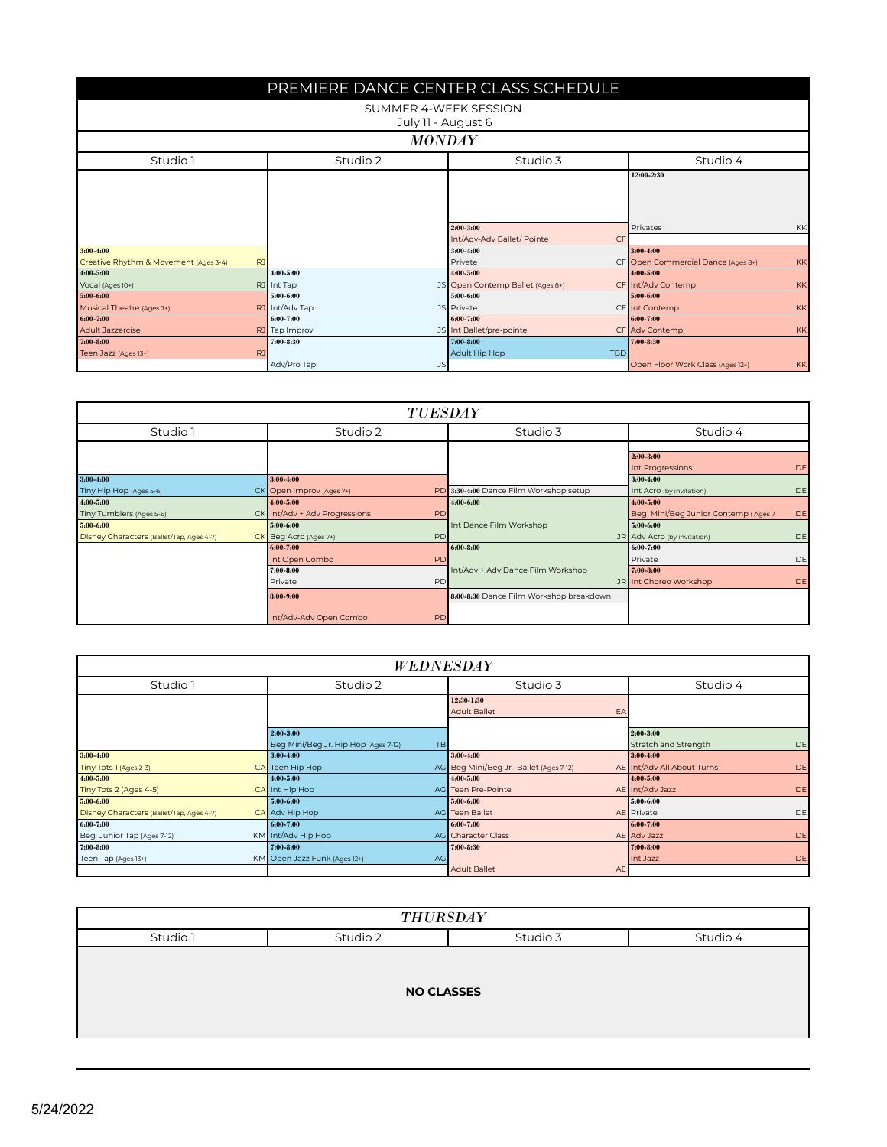| PREMIERE DANCE CENTER CLASS SCHEDULE  |           |                   |                                  |                                               |  |  |  |
|---------------------------------------|-----------|-------------------|----------------------------------|-----------------------------------------------|--|--|--|
| SUMMER 4-WEEK SESSION                 |           |                   |                                  |                                               |  |  |  |
| July 11 - August 6                    |           |                   |                                  |                                               |  |  |  |
|                                       |           |                   |                                  |                                               |  |  |  |
|                                       |           | <b>MONDAY</b>     |                                  |                                               |  |  |  |
| Studio 1                              |           | Studio 2          | Studio 3                         | Studio 4                                      |  |  |  |
|                                       |           |                   |                                  | 12:00-2:30                                    |  |  |  |
|                                       |           |                   |                                  |                                               |  |  |  |
|                                       |           |                   |                                  |                                               |  |  |  |
|                                       |           |                   |                                  |                                               |  |  |  |
|                                       |           |                   | 2:00-3:00                        | Privates<br>KK                                |  |  |  |
|                                       |           |                   | Int/Adv-Adv Ballet/ Pointe<br>CF |                                               |  |  |  |
| $3:00 - 4:00$                         |           |                   | $3:00 - 4:00$                    | 3:00-4:00                                     |  |  |  |
| Creative Rhythm & Movement (Ages 3-4) | RJ        |                   | Private                          | CF Open Commercial Dance (Ages 8+)<br>KK      |  |  |  |
| $4:00 - 5:00$                         |           | $4:00 - 5:00$     | 4:00-5:00                        | $4:00 - 5:00$                                 |  |  |  |
| Vocal (Ages 10+)                      |           | RJ Int Tap        | JS Open Contemp Ballet (Ages 8+) | CF Int/Adv Contemp<br>KK                      |  |  |  |
| $5:00 - 6:00$                         |           | $5:00 - 6:00$     | 5:00-6:00                        | 5:00-6:00                                     |  |  |  |
| Musical Theatre (Ages 7+)             |           | RJ Int/Adv Tap    | JS Private                       | CF Int Contemp<br>KK                          |  |  |  |
| 6:00-7:00                             |           | 6:00-7:00         | 6:00-7:00                        | 6:00-7:00                                     |  |  |  |
| <b>Adult Jazzercise</b>               |           | RJ Tap Improv     | JS Int Ballet/pre-pointe         | CF Adv Contemp<br>KK                          |  |  |  |
| $7:00 - 8:00$                         |           | $7:00 - 8:30$     | 7:00-8:00                        | $7:00 - 8:30$                                 |  |  |  |
| Teen Jazz (Ages 13+)                  | <b>RJ</b> |                   | Adult Hip Hop<br><b>TBD</b>      |                                               |  |  |  |
|                                       |           | Adv/Pro Tap<br>JS |                                  | Open Floor Work Class (Ages 12+)<br><b>KK</b> |  |  |  |

|                                          |  |                               |           | TUESDAY                                 |  |                                     |           |
|------------------------------------------|--|-------------------------------|-----------|-----------------------------------------|--|-------------------------------------|-----------|
| Studio 1                                 |  | Studio 2                      |           | Studio 3                                |  | Studio 4                            |           |
|                                          |  |                               |           |                                         |  | $2:00 - 3:00$<br>Int Progressions   | DE        |
| $3:00 - 4:00$                            |  | 3:00-4:00                     |           |                                         |  | $3:00-4:00$                         |           |
| Tiny Hip Hop (Ages 5-6)                  |  | CK Open Improv (Ages 7+)      |           | PD 3:30-4:00 Dance Film Workshop setup  |  | Int Acro (by invitation)            | DE        |
| 4:00-5:00                                |  | 4:00-5:00                     |           | 4:00-6:00                               |  | 4:00-5:00                           |           |
| Tiny Tumblers (Ages 5-6)                 |  | CK Int/Adv + Adv Progressions | PD        |                                         |  | Beg Mini/Beg Junior Contemp (Ages 7 | <b>DE</b> |
| 5:00-6:00                                |  | 5:00-6:00                     |           | Int Dance Film Workshop                 |  | 5:00-6:00                           |           |
| Disney Characters (Ballet/Tap, Ages 4-7) |  | CK Beg Acro (Ages 7+)         | PD        |                                         |  | JR Adv Acro (by invitation)         | DE        |
|                                          |  | 6:00-7:00                     |           | $6:00 - 8:00$                           |  | 6:00-7:00                           |           |
|                                          |  | Int Open Combo                | <b>PD</b> |                                         |  | Private                             | DE        |
|                                          |  | $7:00 - 8:00$                 |           | Int/Adv + Adv Dance Film Workshop       |  | 7:00-8:00                           |           |
|                                          |  | Private                       | PD        |                                         |  | JR Int Choreo Workshop              | DE        |
|                                          |  | 8:00-9:00                     |           | 8:00-8:30 Dance Film Workshop breakdown |  |                                     |           |
|                                          |  | Int/Adv-Adv Open Combo        | PD        |                                         |  |                                     |           |

| <b>WEDNESDAY</b>                         |  |                                      |           |                                        |           |                            |    |
|------------------------------------------|--|--------------------------------------|-----------|----------------------------------------|-----------|----------------------------|----|
| Studio 1                                 |  | Studio 2                             |           | Studio 3                               |           | Studio 4                   |    |
|                                          |  |                                      |           | 12:30-1:30                             |           |                            |    |
|                                          |  |                                      |           | <b>Adult Ballet</b>                    | EA        |                            |    |
|                                          |  | 2:00-3:00                            |           |                                        |           | 2:00-3:00                  |    |
|                                          |  | Beg Mini/Beg Jr. Hip Hop (Ages 7-12) | <b>TB</b> |                                        |           | Stretch and Strength       | DE |
| $3:00 - 4:00$                            |  | $3:00-4:00$                          |           | $3:00-4:00$                            |           | $3:00 - 4:00$              |    |
| Tiny Tots 1 (Ages 2-3)                   |  | CA Teen Hip Hop                      |           | AG Beg Mini/Beg Jr. Ballet (Ages 7-12) |           | AE Int/Adv All About Turns | DE |
| $4:00 - 5:00$                            |  | $4:00 - 5:00$                        |           | $4:00 - 5:00$                          |           | 4:00 5:00                  |    |
| Tiny Tots 2 (Ages 4-5)                   |  | CA Int Hip Hop                       |           | AG Teen Pre-Pointe                     |           | AE Int/Adv Jazz            | DE |
| 5:00-6:00                                |  | 5:00-6:00                            |           | 5:00-6:00                              |           | 5:00-6:00                  |    |
| Disney Characters (Ballet/Tap, Ages 4-7) |  | CA Adv Hip Hop                       |           | AG Teen Ballet                         |           | AE Private                 | DE |
| 6:00-7:00                                |  | 6:00-7:00                            |           | 6:00-7:00                              |           | 6:00-7:00                  |    |
| Beg Junior Tap (Ages 7-12)               |  | KM Int/Adv Hip Hop                   |           | AG Character Class                     |           | AE Adv Jazz                | DE |
| 7:00-8:00                                |  | 7:00-8:00                            |           | 7:00-8:30                              |           | 7:00-8:00                  |    |
| Teen Tap (Ages 13+)                      |  | KM Open Jazz Funk (Ages 12+)         | AG        |                                        |           | Int Jazz                   | DE |
|                                          |  |                                      |           | <b>Adult Ballet</b>                    | <b>AE</b> |                            |    |

| <b>THURSDAY</b> |                                  |  |  |  |  |  |
|-----------------|----------------------------------|--|--|--|--|--|
| Studio 1        | Studio 2<br>Studio 4<br>Studio 3 |  |  |  |  |  |
|                 | <b>NO CLASSES</b>                |  |  |  |  |  |